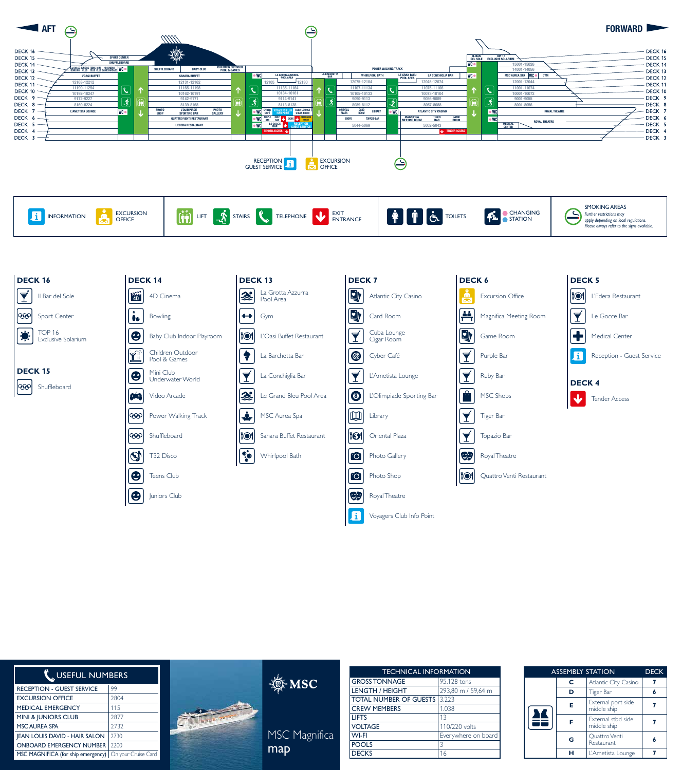

| <b>EXCURSION</b><br><b>INFORMATION</b><br><b>OFFICE</b> | $\mathbf{R}$ stairs $\mathbf{R}$<br>TELEPHONE V ENTRANCE<br><b>I</b> fåd<br>$\blacksquare$ 1 lift | <b>AM</b> A<br>$ \mathbf{f}_n $<br><b>CHANGING</b><br><b>STATION</b> | <b>SMOKING AREAS</b><br>restrictions may<br>apply depending on local regulations.<br>Please always refer to the signs available. |
|---------------------------------------------------------|---------------------------------------------------------------------------------------------------|----------------------------------------------------------------------|----------------------------------------------------------------------------------------------------------------------------------|
|---------------------------------------------------------|---------------------------------------------------------------------------------------------------|----------------------------------------------------------------------|----------------------------------------------------------------------------------------------------------------------------------|



| USEFUL NUMBERS                                           |      |                  | <b>GROS</b>  |
|----------------------------------------------------------|------|------------------|--------------|
| <b>RECEPTION - GUEST SERVICE</b>                         | 99   | $\mathbb{Q}$ MSC | <b>LENG</b>  |
| <b>EXCURSION OFFICE</b>                                  | 2804 |                  | <b>TOTA</b>  |
| <b>MEDICAL EMERGENCY</b>                                 | 115  |                  | <b>CREV</b>  |
| MINI & JUNIORS CLUB                                      | 2877 |                  | <b>LIFTS</b> |
| <b>MSC AUREA SPA</b>                                     | 2732 |                  | <b>VOLT</b>  |
| <b>IEAN LOUIS DAVID - HAIR SALON</b>                     | 2730 | MSC Magnifica    | <b>WI-FI</b> |
| <b>ONBOARD EMERGENCY NUMBER</b>                          | 2200 |                  | <b>POOL</b>  |
| MSC MAGNIFICA (for ship emergency)   On your Cruise Card |      | map              | <b>DECK</b>  |

| <b>TECHNICAL INFORMATION</b>  |                     |  |  |  |
|-------------------------------|---------------------|--|--|--|
| <b>GROSS TONNAGE</b>          | 95,128 tons         |  |  |  |
| LENGTH / HEIGHT               | 293,80 m / 59,64 m  |  |  |  |
| <b>TOTAL NUMBER OF GUESTS</b> | 3.223               |  |  |  |
| <b>CREW MEMBERS</b>           | 1.038               |  |  |  |
| <b>LIFTS</b>                  | 13                  |  |  |  |
| <b>VOLTAGE</b>                | 110/220 volts       |  |  |  |
| WI-FI                         | Everywhere on board |  |  |  |
| <b>POOLS</b>                  | 3                   |  |  |  |
| <b>DECKS</b>                  | 16                  |  |  |  |

| <b>ASSEMBLY STATION</b> |   |                                    | <b>DECK</b> |
|-------------------------|---|------------------------------------|-------------|
|                         | C | Atlantic City Casino               |             |
|                         | D | Tiger Bar                          |             |
|                         | Е | External port side<br>middle ship  |             |
|                         |   | External stbd side<br>middle ship  |             |
|                         |   | Quattro Venti<br><b>Restaurant</b> |             |
|                         |   | L'Ametista Lounge                  |             |